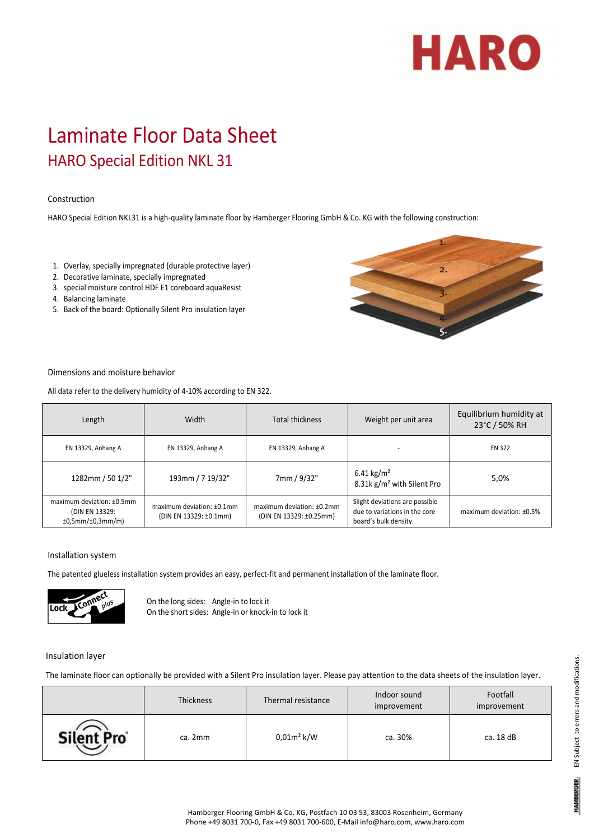# **HARO**

# Laminate Floor Data Sheet HARO Special Edition NKL 31

### Construction

HARO Special Edition NKL31 is a high‐quality laminate floor by Hamberger Flooring GmbH & Co. KG with the following construction:

- 1. Overlay, specially impregnated (durable protective layer)
- 2. Decorative laminate, specially impregnated
- 3. special moisture control HDF E1 coreboard aquaResist
- 4. Balancing laminate
- 5. Back of the board: Optionally Silent Pro insulation layer



#### Dimensions and moisture behavior

All data refer to the delivery humidity of 4‐10% according to EN 322.

| Length                                                          | Width                                               | <b>Total thickness</b>                               | Weight per unit area                                                                     | Equilibrium humidity at<br>23°C / 50% RH |
|-----------------------------------------------------------------|-----------------------------------------------------|------------------------------------------------------|------------------------------------------------------------------------------------------|------------------------------------------|
| EN 13329, Anhang A                                              | EN 13329, Anhang A                                  | EN 13329, Anhang A                                   |                                                                                          | <b>EN 322</b>                            |
| 1282mm / 50 1/2"                                                | 193mm / 7 19/32"                                    | 7mm / 9/32"                                          | 6.41 kg/m <sup>2</sup><br>8.31k g/m <sup>2</sup> with Silent Pro                         | 5,0%                                     |
| maximum deviation: ±0.5mm<br>(DIN EN 13329:<br>±0,5mm/±0,3mm/m) | maximum deviation: ±0.1mm<br>(DIN EN 13329: ±0.1mm) | maximum deviation: ±0.2mm<br>(DIN EN 13329: ±0.25mm) | Slight deviations are possible<br>due to variations in the core<br>board's bulk density. | maximum deviation: $±0.5\%$              |

#### Installation system

The patented glueless installation system provides an easy, perfect-fit and permanent installation of the laminate floor.



On the long sides: Angle‐in to lock it On the short sides: Angle‐in or knock‐in to lock it

#### Insulation layer

The laminate floor can optionally be provided with a Silent Pro insulation layer. Please pay attention to the data sheets of the insulation layer.

|            | Thickness | Thermal resistance | Indoor sound<br>improvement | Footfall<br>improvement |
|------------|-----------|--------------------|-----------------------------|-------------------------|
| Silent Pro | ca. 2mm   | $0.01m^2$ k/W      | ca. 30%                     | ca. 18 dB               |